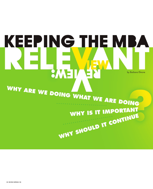## KEEPING THE MI BA by Barbara Elmore WHY ARE WE DOING WHAT WE ARE DOING WHY IS IT IMPORTANT WHY IS IT IMPORTANT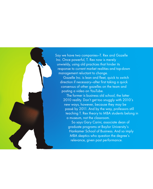Say we have two companies—T. Rex and Gazelle Inc. Once powerful, T. Rex now is merely unwieldy, using old practices that hinder its response to current market realities and top-down management reluctant to change.

Gazelle Inc. is lean and fleet, quick to switch direction if necessary—after first taking a quick consensus of other gazelles on the team and posting a video on YouTube.

The former is business old school, the latter 2010 reality. Don't get too snuggly with 2010's new ways, however, because they may be passé by 2011. And by the way, professors still teaching T. Rex theory to MBA students belong in a museum, not the classroom.

So says Gary Carini, associate dean of graduate programs at Baylor University's Hankamer School of Business. And so imply MBA skeptics who question the degree's relevance, given past performance.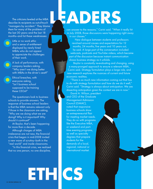The criticisms leveled at the MBA describe its recipients as out-of-touch "managers by accident." They blame them for many of the problems of the last 30 years—and the last 18 months—and list these weaknesses:

Little or no work ethic and a sense of entitlement displayed by newly hired MBAs who do not appear to appreciate the challenges of their work.

A lack of performance, with company leaders asking, "Why aren't we doing better with MBAs in the driver's seat?"

Ethical breaches, with everyone asking, "Isn't business school supposed to be training these CEOs?"

The questioners look to business schools to provide answers. The response of business school leaders is that the MBA remains relevant only if those in the classroom are asking, "Why are we doing what we are doing? Why is it important? Why should it continue?"

At Baylor, that's been happening for more than a decade.

Although charges of MBA irrelevance are not new, the financial crisis that began in mid-2008 invited a new wave of scrutiny—both in the "real world" and inside classrooms.

"In this financial crisis, we realized that no one person, no one discipline,

ETHICS

## EADERS

can answer to the reasons," Carini said. "When it really hit in July 2008, those discussions were happening right away in our classes."

New dialogue between students and professors revolved around causes and expectations for 12 months, 24 months, five years and 10 years out, he said. A large part of the conversation included webcasts, podcasts and YouTube videos, which became part of the discussion because instant communication shows business strategy as it unfolds.

Baylor is constantly re-evaluating and changing, using a many-pronged approach to ensure a relevant MBA, Carini said. Strategy formulation plays a large role, and new research explores the nuances of current and future economic realities.

"There is so much new information coming out that has to do with strategy formulation and how do we do it well," Carini said. "Strategy is always about anticipation. We are dissecting anticipation given the context we are in now."

David A. Wilson, president and CEO of the Graduate Management Admission Council (GMAC), noted that responsive business schools show an entrepreneurial flair for meeting market needs. They do so with programs like the Executive MBA, or weekend and parttime evening programs, as well as specialty degrees that prepare students for the demands of a local, regional, national or international market.

**22 REVIEW [SPRING 10]**